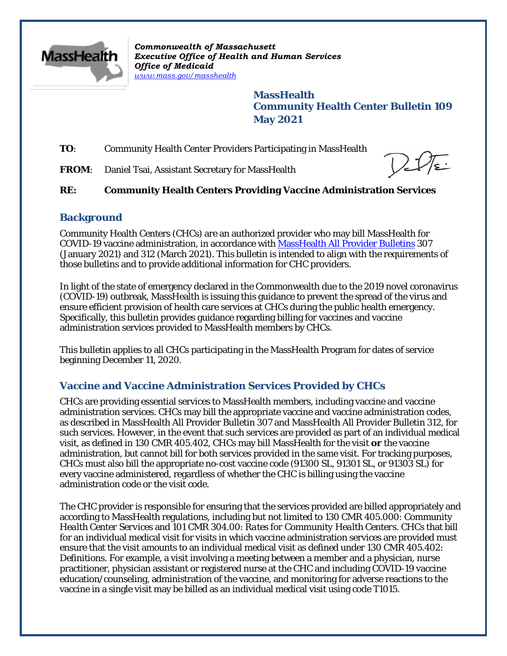

*Commonwealth of Massachusett Executive Office of Health and Human Services Office of Medicaid [www.mass.gov/masshealth](http://www.mass.gov/masshealth)*

> **MassHealth Community Health Center Bulletin 109 May 2021**

**TO**: Community Health Center Providers Participating in MassHealth

FROM: Daniel Tsai, Assistant Secretary for MassHealth

## **RE: Community Health Centers Providing Vaccine Administration Services**

## **Background**

Community Health Centers (CHCs) are an authorized provider who may bill MassHealth for COVID-19 vaccine administration, in accordance with [MassHealth All Provider Bulletins](https://www.mass.gov/info-details/masshealth-coronavirus-disease-2019-covid-19-providers#guidance-for-all-providers-) 307 (January 2021) and 312 (March 2021). This bulletin is intended to align with the requirements of those bulletins and to provide additional information for CHC providers.

In light of the state of emergency declared in the Commonwealth due to the 2019 novel coronavirus (COVID-19) outbreak, MassHealth is issuing this guidance to prevent the spread of the virus and ensure efficient provision of health care services at CHCs during the public health emergency. Specifically, this bulletin provides guidance regarding billing for vaccines and vaccine administration services provided to MassHealth members by CHCs.

This bulletin applies to all CHCs participating in the MassHealth Program for dates of service beginning December 11, 2020.

# **Vaccine and Vaccine Administration Services Provided by CHCs**

CHCs are providing essential services to MassHealth members, including vaccine and vaccine administration services. CHCs may bill the appropriate vaccine and vaccine administration codes, as described in MassHealth All Provider Bulletin 307 and MassHealth All Provider Bulletin 312, for such services. However, in the event that such services are provided as part of an individual medical visit, as defined in 130 CMR 405.402, CHCs may bill MassHealth for the visit *or* the vaccine administration, but cannot bill for both services provided in the same visit. For tracking purposes, CHCs must also bill the appropriate no-cost vaccine code (91300 SL, 91301 SL, or 91303 SL) for every vaccine administered, regardless of whether the CHC is billing using the vaccine administration code or the visit code.

The CHC provider is responsible for ensuring that the services provided are billed appropriately and according to MassHealth regulations, including but not limited to 130 CMR 405.000: *Community Health Center Services* and 101 CMR 304.00: *Rates for Community Health Centers*. CHCs that bill for an individual medical visit for visits in which vaccine administration services are provided must ensure that the visit amounts to an individual medical visit as defined under 130 CMR 405.402: *Definitions*. For example, a visit involving a meeting between a member and a physician, nurse practitioner, physician assistant or registered nurse at the CHC and including COVID-19 vaccine education/counseling, administration of the vaccine, and monitoring for adverse reactions to the vaccine in a single visit may be billed as an individual medical visit using code T1015.